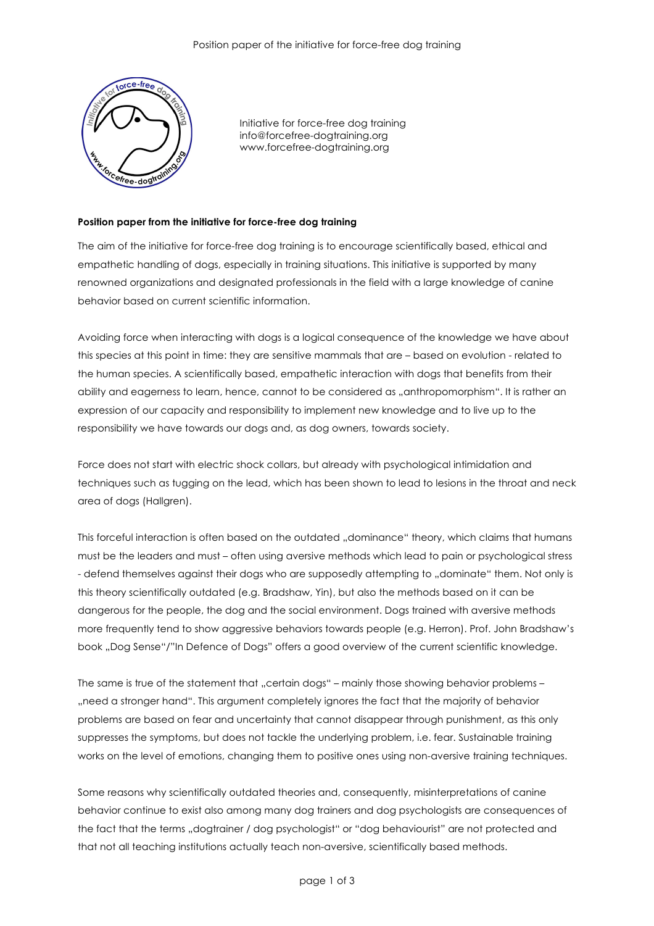

Initiative for force-free dog training info@forcefree-dogtraining.org www.forcefree-dogtraining.org

## **Position paper from the initiative for force-free dog training**

The aim of the initiative for force-free dog training is to encourage scientifically based, ethical and empathetic handling of dogs, especially in training situations. This initiative is supported by many renowned organizations and designated professionals in the field with a large knowledge of canine behavior based on current scientific information.

Avoiding force when interacting with dogs is a logical consequence of the knowledge we have about this species at this point in time: they are sensitive mammals that are – based on evolution - related to the human species. A scientifically based, empathetic interaction with dogs that benefits from their ability and eagerness to learn, hence, cannot to be considered as "anthropomorphism". It is rather an expression of our capacity and responsibility to implement new knowledge and to live up to the responsibility we have towards our dogs and, as dog owners, towards society.

Force does not start with electric shock collars, but already with psychological intimidation and techniques such as tugging on the lead, which has been shown to lead to lesions in the throat and neck area of dogs (Hallgren).

This forceful interaction is often based on the outdated "dominance" theory, which claims that humans must be the leaders and must – often using aversive methods which lead to pain or psychological stress - defend themselves against their dogs who are supposedly attempting to "dominate" them. Not only is this theory scientifically outdated (e.g. Bradshaw, Yin), but also the methods based on it can be dangerous for the people, the dog and the social environment. Dogs trained with aversive methods more frequently tend to show aggressive behaviors towards people (e.g. Herron). Prof. John Bradshaw's book "Dog Sense"/"In Defence of Dogs" offers a good overview of the current scientific knowledge.

The same is true of the statement that "certain dogs" – mainly those showing behavior problems – "need a stronger hand". This argument completely ignores the fact that the majority of behavior problems are based on fear and uncertainty that cannot disappear through punishment, as this only suppresses the symptoms, but does not tackle the underlying problem, i.e. fear. Sustainable training works on the level of emotions, changing them to positive ones using non-aversive training techniques.

Some reasons why scientifically outdated theories and, consequently, misinterpretations of canine behavior continue to exist also among many dog trainers and dog psychologists are consequences of the fact that the terms "dogtrainer / dog psychologist" or "dog behaviourist" are not protected and that not all teaching institutions actually teach non-aversive, scientifically based methods.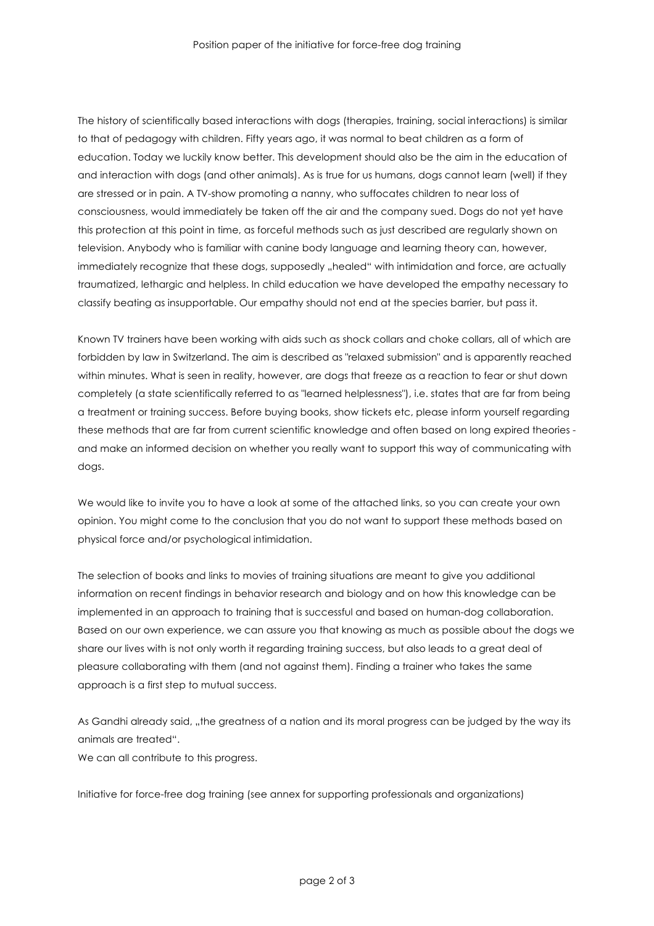The history of scientifically based interactions with dogs (therapies, training, social interactions) is similar to that of pedagogy with children. Fifty years ago, it was normal to beat children as a form of education. Today we luckily know better. This development should also be the aim in the education of and interaction with dogs (and other animals). As is true for us humans, dogs cannot learn (well) if they are stressed or in pain. A TV-show promoting a nanny, who suffocates children to near loss of consciousness, would immediately be taken off the air and the company sued. Dogs do not yet have this protection at this point in time, as forceful methods such as just described are regularly shown on television. Anybody who is familiar with canine body language and learning theory can, however, immediately recognize that these dogs, supposedly "healed" with intimidation and force, are actually traumatized, lethargic and helpless. In child education we have developed the empathy necessary to classify beating as insupportable. Our empathy should not end at the species barrier, but pass it.

Known TV trainers have been working with aids such as shock collars and choke collars, all of which are forbidden by law in Switzerland. The aim is described as "relaxed submission" and is apparently reached within minutes. What is seen in reality, however, are dogs that freeze as a reaction to fear or shut down completely (a state scientifically referred to as "learned helplessness"), i.e. states that are far from being a treatment or training success. Before buying books, show tickets etc, please inform yourself regarding these methods that are far from current scientific knowledge and often based on long expired theories and make an informed decision on whether you really want to support this way of communicating with dogs.

We would like to invite you to have a look at some of the attached links, so you can create your own opinion. You might come to the conclusion that you do not want to support these methods based on physical force and/or psychological intimidation.

The selection of books and links to movies of training situations are meant to give you additional information on recent findings in behavior research and biology and on how this knowledge can be implemented in an approach to training that is successful and based on human-dog collaboration. Based on our own experience, we can assure you that knowing as much as possible about the dogs we share our lives with is not only worth it regarding training success, but also leads to a great deal of pleasure collaborating with them (and not against them). Finding a trainer who takes the same approach is a first step to mutual success.

As Gandhi already said, "the greatness of a nation and its moral progress can be judged by the way its animals are treated".

We can all contribute to this progress.

Initiative for force-free dog training (see annex for supporting professionals and organizations)